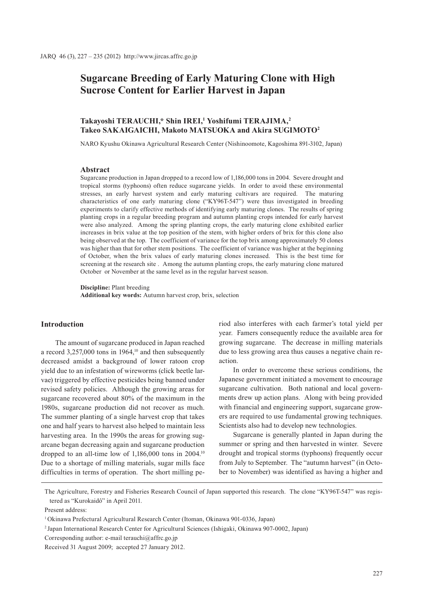# **Sugarcane Breeding of Early Maturing Clone with High Sucrose Content for Earlier Harvest in Japan**

# **Takayoshi TERAUCHI,\* Shin IREI,1 Yoshifumi TERAJIMA,2 Takeo SAKAIGAICHI, Makoto MATSUOKA and Akira SUGIMOTO2**

NARO Kyushu Okinawa Agricultural Research Center (Nishinoomote, Kagoshima 891-3102, Japan)

## **Abstract**

Sugarcane production in Japan dropped to a record low of 1,186,000 tons in 2004. Severe drought and tropical storms (typhoons) often reduce sugarcane yields. In order to avoid these environmental stresses, an early harvest system and early maturing cultivars are required. The maturing characteristics of one early maturing clone ("KY96T-547") were thus investigated in breeding experiments to clarify effective methods of identifying early maturing clones. The results of spring planting crops in a regular breeding program and autumn planting crops intended for early harvest were also analyzed. Among the spring planting crops, the early maturing clone exhibited earlier increases in brix value at the top position of the stem, with higher orders of brix for this clone also being observed at the top. The coefficient of variance for the top brix among approximately 50 clones was higher than that for other stem positions. The coefficient of variance was higher at the beginning of October, when the brix values of early maturing clones increased. This is the best time for screening at the research site . Among the autumn planting crops, the early maturing clone matured October or November at the same level as in the regular harvest season.

**Discipline:** Plant breeding

**Additional key words:** Autumn harvest crop, brix, selection

# **Introduction**

The amount of sugarcane produced in Japan reached a record  $3,257,000$  tons in  $1964$ ,<sup>10</sup> and then subsequently decreased amidst a background of lower ratoon crop yield due to an infestation of wireworms (click beetle larvae) triggered by effective pesticides being banned under revised safety policies. Although the growing areas for sugarcane recovered about 80% of the maximum in the 1980s, sugarcane production did not recover as much. The summer planting of a single harvest crop that takes one and half years to harvest also helped to maintain less harvesting area. In the 1990s the areas for growing sugarcane began decreasing again and sugarcane production dropped to an all-time low of 1,186,000 tons in 2004.10 Due to a shortage of milling materials, sugar mills face difficulties in terms of operation. The short milling period also interferes with each farmer's total yield per year. Famers consequently reduce the available area for growing sugarcane. The decrease in milling materials due to less growing area thus causes a negative chain reaction.

In order to overcome these serious conditions, the Japanese government initiated a movement to encourage sugarcane cultivation. Both national and local governments drew up action plans. Along with being provided with financial and engineering support, sugarcane growers are required to use fundamental growing techniques. Scientists also had to develop new technologies.

Sugarcane is generally planted in Japan during the summer or spring and then harvested in winter. Severe drought and tropical storms (typhoons) frequently occur from July to September. The "autumn harvest" (in October to November) was identified as having a higher and

The Agriculture, Forestry and Fisheries Research Council of Japan supported this research. The clone "KY96T-547" was registered as "Kurokaidô" in April 2011.

Present address:

<sup>1</sup> Okinawa Prefectural Agricultural Research Center (Itoman, Okinawa 901-0336, Japan)

<sup>2</sup> Japan International Research Center for Agricultural Sciences (Ishigaki, Okinawa 907-0002, Japan)

Corresponding author: e-mail terauchi@affrc.go.jp

Received 31 August 2009; accepted 27 January 2012.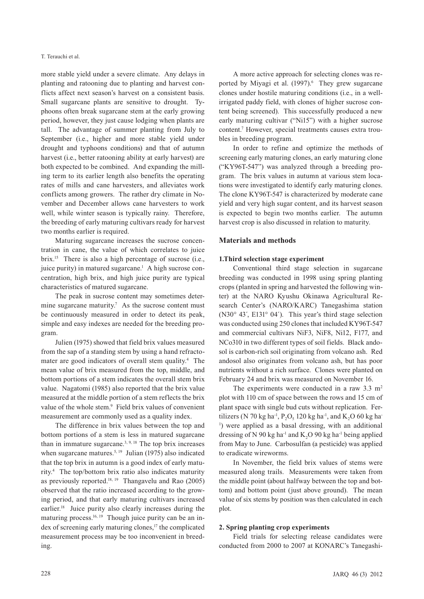#### T. Terauchi et al.

more stable yield under a severe climate. Any delays in planting and ratooning due to planting and harvest conflicts affect next season's harvest on a consistent basis. Small sugarcane plants are sensitive to drought. Typhoons often break sugarcane stem at the early growing period, however, they just cause lodging when plants are tall. The advantage of summer planting from July to September (i.e., higher and more stable yield under drought and typhoons conditions) and that of autumn harvest (i.e., better ratooning ability at early harvest) are both expected to be combined. And expanding the milling term to its earlier length also benefits the operating rates of mills and cane harvesters, and alleviates work conflicts among growers. The rather dry climate in November and December allows cane harvesters to work well, while winter season is typically rainy. Therefore, the breeding of early maturing cultivars ready for harvest two months earlier is required.

Maturing sugarcane increases the sucrose concentration in cane, the value of which correlates to juice brix.<sup>15</sup> There is also a high percentage of sucrose (i.e., juice purity) in matured sugarcane.<sup>1</sup> A high sucrose concentration, high brix, and high juice purity are typical characteristics of matured sugarcane.

The peak in sucrose content may sometimes determine sugarcane maturity.<sup>7</sup> As the sucrose content must be continuously measured in order to detect its peak, simple and easy indexes are needed for the breeding program.

Julien (1975) showed that field brix values measured from the sap of a standing stem by using a hand refractomater are good indicators of overall stem quality.4 The mean value of brix measured from the top, middle, and bottom portions of a stem indicates the overall stem brix value. Nagatomi (1985) also reported that the brix value measured at the middle portion of a stem reflects the brix value of the whole stem.<sup>9</sup> Field brix values of convenient measurement are commonly used as a quality index.

The difference in brix values between the top and bottom portions of a stem is less in matured sugarcane than in immature sugarcane.<sup>3, 9, 18</sup> The top brix increases when sugarcane matures.<sup>5, 19</sup> Julian (1975) also indicated that the top brix in autumn is a good index of early maturity.4 The top/bottom brix ratio also indicates maturity as previously reported.<sup>18, 19</sup> Thangavelu and Rao  $(2005)$ observed that the ratio increased according to the growing period, and that early maturing cultivars increased earlier.18 Juice purity also clearly increases during the maturing process.<sup>16, 19</sup> Though juice purity can be an index of screening early maturing clones,<sup>17</sup> the complicated measurement process may be too inconvenient in breeding.

A more active approach for selecting clones was reported by Miyagi et al. (1997).<sup>6</sup> They grew sugarcane clones under hostile maturing conditions (i.e., in a wellirrigated paddy field, with clones of higher sucrose content being screened). This successfully produced a new early maturing cultivar ("Ni15") with a higher sucrose content.7 However, special treatments causes extra troubles in breeding program.

In order to refine and optimize the methods of screening early maturing clones, an early maturing clone ("KY96T-547") was analyzed through a breeding program. The brix values in autumn at various stem locations were investigated to identify early maturing clones. The clone KY96T-547 is characterized by moderate cane yield and very high sugar content, and its harvest season is expected to begin two months earlier. The autumn harvest crop is also discussed in relation to maturity.

## **Materials and methods**

## **1.Third selection stage experiment**

Conventional third stage selection in sugarcane breeding was conducted in 1998 using spring planting crops (planted in spring and harvested the following winter) at the NARO Kyushu Okinawa Agricultural Research Center's (NARO/KARC) Tanegashima station (N30° 43´, E131° 04´). This year's third stage selection was conducted using 250 clones that included KY96T-547 and commercial cultivars NiF3, NiF8, Ni12, F177, and NCo310 in two different types of soil fields. Black andosol is carbon-rich soil originating from volcano ash. Red andosol also originates from volcano ash, but has poor nutrients without a rich surface. Clones were planted on February 24 and brix was measured on November 16.

The experiments were conducted in a raw  $3.3 \text{ m}^2$ plot with 110 cm of space between the rows and 15 cm of plant space with single bud cuts without replication. Fertilizers (N 70 kg ha<sup>-1</sup>, P<sub>2</sub>O<sub>5</sub> 120 kg ha<sup>-1</sup>, and K<sub>2</sub>O 60 kg ha-<sup>1</sup>) were applied as a basal dressing, with an additional dressing of N 90 kg ha<sup>-1</sup> and K<sub>2</sub>O 90 kg ha<sup>-1</sup> being applied from May to June. Carbosulfan (a pesticide) was applied to eradicate wireworms.

In November, the field brix values of stems were measured along trails. Measurements were taken from the middle point (about halfway between the top and bottom) and bottom point (just above ground). The mean value of six stems by position was then calculated in each plot.

# **2. Spring planting crop experiments**

Field trials for selecting release candidates were conducted from 2000 to 2007 at KONARC's Tanegashi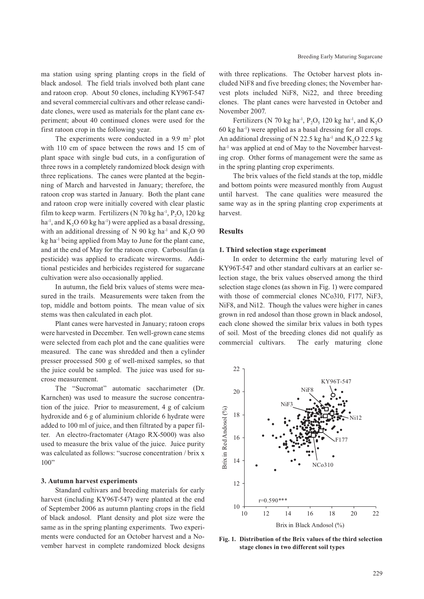ma station using spring planting crops in the field of black andosol. The field trials involved both plant cane and ratoon crop. About 50 clones, including KY96T-547 and several commercial cultivars and other release candidate clones, were used as materials for the plant cane experiment; about 40 continued clones were used for the first ratoon crop in the following year.

The experiments were conducted in a  $9.9 \text{ m}^2$  plot with 110 cm of space between the rows and 15 cm of plant space with single bud cuts, in a configuration of three rows in a completely randomized block design with three replications. The canes were planted at the beginning of March and harvested in January; therefore, the ratoon crop was started in January. Both the plant cane and ratoon crop were initially covered with clear plastic film to keep warm. Fertilizers (N 70 kg ha $^{-1}$ , P<sub>2</sub>O<sub>5</sub> 120 kg ha<sup>-1</sup>, and K<sub>2</sub>O 60 kg ha<sup>-1</sup>) were applied as a basal dressing, with an additional dressing of  $N$  90 kg ha<sup>-1</sup> and  $K_2O$  90 kg ha<sup>-1</sup> being applied from May to June for the plant cane, and at the end of May for the ratoon crop. Carbosulfan (a pesticide) was applied to eradicate wireworms. Additional pesticides and herbicides registered for sugarcane cultivation were also occasionally applied.

In autumn, the field brix values of stems were measured in the trails. Measurements were taken from the top, middle and bottom points. The mean value of six stems was then calculated in each plot.

Plant canes were harvested in January; ratoon crops were harvested in December. Ten well-grown cane stems were selected from each plot and the cane qualities were measured. The cane was shredded and then a cylinder presser processed 500 g of well-mixed samples, so that the juice could be sampled. The juice was used for sucrose measurement.

The "Sucromat" automatic saccharimeter (Dr. Karnchen) was used to measure the sucrose concentration of the juice. Prior to measurement, 4 g of calcium hydroxide and 6 g of aluminium chloride 6 hydrate were added to 100 ml of juice, and then filtrated by a paper filter. An electro-fractomater (Atago RX-5000) was also used to measure the brix value of the juice. Juice purity was calculated as follows: "sucrose concentration / brix x 100"

## **3. Autumn harvest experiments**

Standard cultivars and breeding materials for early harvest (including KY96T-547) were planted at the end of September 2006 as autumn planting crops in the field of black andosol. Plant density and plot size were the same as in the spring planting experiments. Two experiments were conducted for an October harvest and a November harvest in complete randomized block designs with three replications. The October harvest plots included NiF8 and five breeding clones; the November harvest plots included NiF8, Ni22, and three breeding clones. The plant canes were harvested in October and November 2007.

Fertilizers (N 70 kg ha<sup>-1</sup>, P<sub>2</sub>O<sub>5</sub> 120 kg ha<sup>-1</sup>, and K<sub>2</sub>O<sub>5</sub> 60 kg ha-1) were applied as a basal dressing for all crops. An additional dressing of N 22.5 kg ha<sup>-1</sup> and K<sub>2</sub>O 22.5 kg ha<sup>-1</sup> was applied at end of May to the November harvesting crop. Other forms of management were the same as in the spring planting crop experiments.

The brix values of the field stands at the top, middle and bottom points were measured monthly from August until harvest. The cane qualities were measured the same way as in the spring planting crop experiments at harvest.

### **Results**

#### **1. Third selection stage experiment**

In order to determine the early maturing level of KY96T-547 and other standard cultivars at an earlier selection stage, the brix values observed among the third selection stage clones (as shown in Fig. 1) were compared with those of commercial clones NCo310, F177, NiF3, NiF8, and Ni12. Though the values were higher in canes grown in red andosol than those grown in black andosol, each clone showed the similar brix values in both types of soil. Most of the breeding clones did not qualify as commercial cultivars. The early maturing clone



**Fig. 1. Distribution of the Brix values of the third selection stage clones in two different soil types**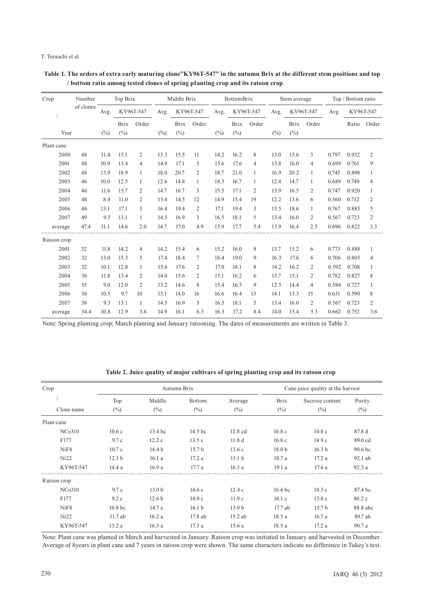#### T. Terauchi et al.

| Crop        | Number    |        | Top Brix    |                | Middle Brix    |             | <b>BottomBrix</b> |                | Stem average |                |        | Top / Bottom ratio |                |       |           |                |
|-------------|-----------|--------|-------------|----------------|----------------|-------------|-------------------|----------------|--------------|----------------|--------|--------------------|----------------|-------|-----------|----------------|
|             | of clones | Avg.   | KY96T-547   |                | Avg.           |             | KY96T-547         |                | KY96T-547    |                | Avg.   | KY96T-547          |                | Avg.  | KY96T-547 |                |
|             |           |        | <b>Brix</b> | Order          |                | <b>Brix</b> | Order             |                | <b>Brix</b>  | Order          |        | <b>Brix</b>        | Order          |       | Ratio     | Order          |
| Year        |           | $(\%)$ | (%)         |                | $\binom{0}{0}$ | $(\%)$      |                   | $\binom{0}{0}$ | $(^{0}_{0})$ |                | $(\%)$ | $\binom{0}{0}$     |                |       |           |                |
| Plant cane  |           |        |             |                |                |             |                   |                |              |                |        |                    |                |       |           |                |
| 2000        | 48        | 11.4   | 15.1        | 2              | 13.3           | 15.5        | 11                | 14.2           | 16.2         | 8              | 13.0   | 15.6               | 3              | 0.797 | 0.932     | $\overline{2}$ |
| 2001        | 48        | 10.9   | 13.4        | 4              | 14.9           | 17.1        | 5                 | 15.6           | 17.6         | $\overline{4}$ | 13.8   | 16.0               | 4              | 0.699 | 0.761     | 9              |
| 2002        | 48        | 13.9   | 18.9        | $\mathbf{1}$   | 18.0           | 20.7        | $\overline{2}$    | 18.7           | 21.0         | $\mathbf{1}$   | 16.9   | 20.2               | $\mathbf{1}$   | 0.745 | 0.898     | 1              |
| 2003        | 46        | 10.0   | 12.5        | 1              | 12.6           | 14.8        | 1                 | 14.5           | 16.7         | 1              | 12.4   | 14.7               | 1              | 0.689 | 0.749     | 4              |
| 2004        | 46        | 11.6   | 15.7        | 2              | 14.7           | 16.7        | 3                 | 15.5           | 17.1         | 2              | 13.9   | 16.5               | 2              | 0.747 | 0.920     | 1              |
| 2005        | 48        | 8.4    | 11.0        | 2              | 13.4           | 14.5        | 12                | 14.9           | 15.4         | 19             | 12.2   | 13.6               | 6              | 0.560 | 0.712     | $\overline{2}$ |
| 2006        | 46        | 13.1   | 17.1        | 3              | 16.4           | 19.4        | $\mathfrak{2}$    | 17.1           | 19.4         | 3              | 15.5   | 18.6               | $\mathbf{1}$   | 0.767 | 0.883     | 5              |
| 2007        | 49        | 9.3    | 13.1        | 1              | 14.5           | 16.9        | 3                 | 16.5           | 18.1         | 5              | 13.4   | 16.0               | 2              | 0.567 | 0.723     | 2              |
| average     | 47.4      | 11.1   | 14.6        | 2.0            | 14.7           | 17.0        | 4.9               | 15.9           | 17.7         | 5.4            | 13.9   | 16.4               | 2.5            | 0.696 | 0.822     | 3.3            |
| Ratoon crop |           |        |             |                |                |             |                   |                |              |                |        |                    |                |       |           |                |
| 2001        | 32        | 11.8   | 14.2        | $\overline{4}$ | 14.2           | 15.4        | 6                 | 15.2           | 16.0         | 9              | 13.7   | 15.2               | 6              | 0.773 | 0.888     | $\mathbf{1}$   |
| 2002        | 32        | 13.0   | 15.3        | 5              | 17.4           | 18.4        | 7                 | 18.4           | 19.0         | 9              | 16.3   | 17.6               | 6              | 0.706 | 0.805     | 4              |
| 2003        | 32        | 10.1   | 12.8        | 1              | 15.6           | 17.6        | $\overline{2}$    | 17.0           | 18.1         | 8              | 14.2   | 16.2               | $\overline{2}$ | 0.592 | 0.708     | 1              |
| 2004        | 36        | 11.8   | 13.4        | 2              | 14.0           | 15.6        | 2                 | 15.1           | 16.2         | 6              | 13.7   | 15.1               | $\overline{2}$ | 0.782 | 0.827     | 8              |
| 2005        | 35        | 9.0    | 12.0        | $\overline{c}$ | 13.2           | 14.6        | 8                 | 15.4           | 16.5         | 9              | 12.5   | 14.4               | $\overline{4}$ | 0.584 | 0.727     | $\mathbf{1}$   |
| 2006        | 36        | 10.5   | 9.7         | 10             | 15.1           | 14.0        | 16                | 16.6           | 16.4         | 13             | 14.1   | 13.3               | 15             | 0.631 | 0.590     | 8              |
| 2007        | 38        | 9.3    | 13.1        | $\mathbf{1}$   | 14.5           | 16.9        | 3                 | 16.5           | 18.1         | 5              | 13.4   | 16.0               | $\overline{2}$ | 0.567 | 0.723     | $\overline{2}$ |
| average     | 34.4      | 10.8   | 12.9        | 3.6            | 14.9           | 16.1        | 6.3               | 16.3           | 17.2         | 8.4            | 14.0   | 15.4               | 5.3            | 0.662 | 0.752     | 3.6            |

 **Table 1. The orders of extra early maturing clone"KY96T-547" in the autumn Brix at the different stem positions and top / bottom ratio among tested clones of spring p1anting crop and its ratoon crop**

Note: Spring planting crop; March planting and January ratooning. The dates of measurements are written in Table 3.

| Crop        |                    |                   | Autumn Brix       | Cane juice quality at the harvest |                    |                   |                    |
|-------------|--------------------|-------------------|-------------------|-----------------------------------|--------------------|-------------------|--------------------|
|             | Top                | Middle            | Bottom            | Average                           | <b>Brix</b>        | Sucrose content   | Purity             |
| Clone name  | $(\%)$             | $(\%)$            | $(\%)$            | $(\%)$                            | $(\%)$             | $(\%)$            | $(\%)$             |
| Plant cane  |                    |                   |                   |                                   |                    |                   |                    |
| NCo310      | 10.6c              | 13.4 bc           | 14.5 bc           | $12.8$ cd                         | 16.8c              | 14.8c             | 87.8 d             |
| F177        | 9.7c               | 12.2c             | 13.5c             | 11.8 <sub>d</sub>                 | 16.8c              | 14.9c             | 89.0 cd            |
| NiF8        | 10.7c              | 14.4 <sub>b</sub> | 15.7 <sub>b</sub> | 13.6c                             | 18.0 <sub>b</sub>  | 16.3 <sub>b</sub> | 90.6 <sub>bc</sub> |
| Ni22        | 12.1 <sub>b</sub>  | 16.1a             | 17.2a             | 15.1 <sub>b</sub>                 | 18.7 a             | 17.2a             | 92.1 ab            |
| KY96T-547   | 14.4a              | 16.9a             | 17.7a             | 16.3a                             | 19.1a              | 17.6a             | 92.3a              |
| Ratoon crop |                    |                   |                   |                                   |                    |                   |                    |
| NCo310      | 9.7c               | 13.0 <sub>b</sub> | 14.6c             | 12.4c                             | 16.6 <sub>bc</sub> | 14.5c             | 87.4 bc            |
| F177        | 9.2c               | 12.6 <sub>b</sub> | 14.0c             | 11.9c                             | 16.1c              | 13.8c             | 86.2c              |
| NiF8        | 10.8 <sub>bc</sub> | 14.7 a            | 16.1 <sub>b</sub> | 13.9 <sub>b</sub>                 | 17.7 ab            | 15.7 <sub>b</sub> | 88.8 abc           |
| Ni22        | 11.7ab             | 16.2a             | 17.8 ab           | $15.2$ ab                         | 18.5a              | 16.7a             | 89.7 ab            |
| KY96T-547   | 13.2 a             | 16.3a             | 17.3 a            | 15.6 a                            | 18.5 a             | 17.2a             | 90.7 a             |

**Table 2. Juice quality of major cultivars of spring planting crop and its ratoon crop**

Note: Plant cane was planted in March and harvested in January. Ratoon crop was initiated in January and harvested in December. Average of 8years in plant cane and 7 years in ratoon crop were shown. The same characters indicate no difference in Tukey's test.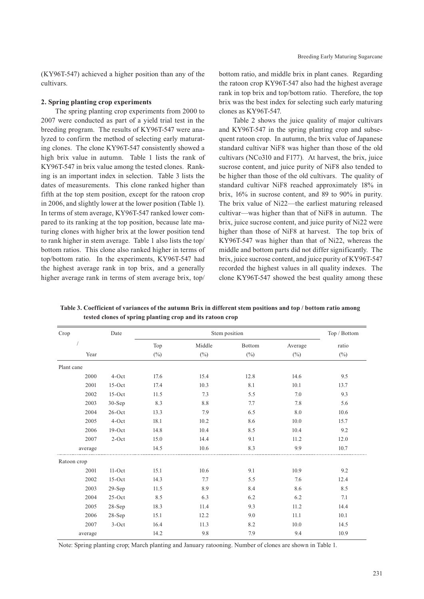(KY96T-547) achieved a higher position than any of the cultivars.

#### **2. Spring planting crop experiments**

The spring planting crop experiments from 2000 to 2007 were conducted as part of a yield trial test in the breeding program. The results of KY96T-547 were analyzed to confirm the method of selecting early maturating clones. The clone KY96T-547 consistently showed a high brix value in autumn. Table 1 lists the rank of KY96T-547 in brix value among the tested clones. Ranking is an important index in selection. Table 3 lists the dates of measurements. This clone ranked higher than fifth at the top stem position, except for the ratoon crop in 2006, and slightly lower at the lower position (Table 1). In terms of stem average, KY96T-547 ranked lower compared to its ranking at the top position, because late maturing clones with higher brix at the lower position tend to rank higher in stem average. Table 1 also lists the top/ bottom ratios. This clone also ranked higher in terms of top/bottom ratio. In the experiments, KY96T-547 had the highest average rank in top brix, and a generally higher average rank in terms of stem average brix, top/ bottom ratio, and middle brix in plant canes. Regarding the ratoon crop KY96T-547 also had the highest average rank in top brix and top/bottom ratio. Therefore, the top brix was the best index for selecting such early maturing clones as KY96T-547.

Table 2 shows the juice quality of major cultivars and KY96T-547 in the spring planting crop and subsequent ratoon crop. In autumn, the brix value of Japanese standard cultivar NiF8 was higher than those of the old cultivars (NCo310 and F177). At harvest, the brix, juice sucrose content, and juice purity of NiF8 also tended to be higher than those of the old cultivars. The quality of standard cultivar NiF8 reached approximately 18% in brix, 16% in sucrose content, and 89 to 90% in purity. The brix value of Ni22—the earliest maturing released cultivar—was higher than that of NiF8 in autumn. The brix, juice sucrose content, and juice purity of Ni22 were higher than those of NiF8 at harvest. The top brix of KY96T-547 was higher than that of Ni22, whereas the middle and bottom parts did not differ significantly. The brix, juice sucrose content, and juice purity of KY96T-547 recorded the highest values in all quality indexes. The clone KY96T-547 showed the best quality among these

| Crop        | Date      |        | Top / Bottom |              |         |        |
|-------------|-----------|--------|--------------|--------------|---------|--------|
|             |           | Top    | Middle       | Bottom       | Average | ratio  |
| Year        |           | $(\%)$ | $(\%)$       | $(^{0}_{0})$ | $(\%)$  | $(\%)$ |
| Plant cane  |           |        |              |              |         |        |
| 2000        | 4-Oct     | 17.6   | 15.4         | 12.8         | 14.6    | 9.5    |
| 2001        | $15$ -Oct | 17.4   | 10.3         | 8.1          | 10.1    | 13.7   |
| 2002        | $15-Oct$  | 11.5   | 7.3          | 5.5          | 7.0     | 9.3    |
| 2003        | $30-Sep$  | 8.3    | 8.8          | 7.7          | 7.8     | 5.6    |
| 2004        | $26$ -Oct | 13.3   | 7.9          | 6.5          | 8.0     | 10.6   |
| 2005        | 4-Oct     | 18.1   | 10.2         | 8.6          | 10.0    | 15.7   |
| 2006        | $19-Oct$  | 14.8   | 10.4         | 8.5          | 10.4    | 9.2    |
| 2007        | $2$ -Oct  | 15.0   | 14.4         | 9.1          | 11.2    | 12.0   |
| average     |           | 14.5   | 10.6         | 8.3          | 9.9     | 10.7   |
| Ratoon crop |           |        |              |              |         |        |
| 2001        | $11-Oct$  | 15.1   | 10.6         | 9.1          | 10.9    | 9.2    |
| 2002        | $15-Oct$  | 14.3   | 7.7          | 5.5          | 7.6     | 12.4   |
| 2003        | $29-Sep$  | 11.5   | 8.9          | 8.4          | 8.6     | 8.5    |
| 2004        | $25-Oct$  | 8.5    | 6.3          | 6.2          | 6.2     | 7.1    |
| 2005        | $28-Sep$  | 18.3   | 11.4         | 9.3          | 11.2    | 14.4   |
| 2006        | $28-Sep$  | 15.1   | 12.2         | 9.0          | 11.1    | 10.1   |
| 2007        | $3-Oct$   | 16.4   | 11.3         | 8.2          | 10.0    | 14.5   |
| average     |           | 14.2   | 9.8          | 7.9          | 9.4     | 10.9   |

 **Table 3. Coefficient of variances of the autumn Brix in different stem positions and top / bottom ratio among tested clones of spring planting crop and its ratoon crop**

Note: Spring planting crop; March planting and January ratooning. Number of clones are shown in Table 1.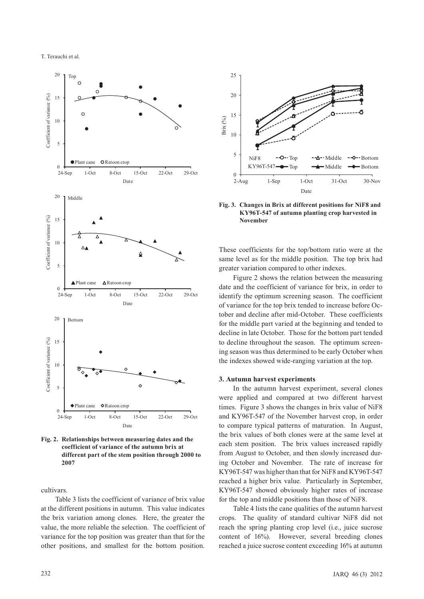

**Fig. 2. Relationships between measuring dates and the coefficient of variance of the autumn brix at different part of the stem position through 2000 to 2007**

cultivars.

Table 3 lists the coefficient of variance of brix value at the different positions in autumn. This value indicates the brix variation among clones. Here, the greater the value, the more reliable the selection. The coefficient of variance for the top position was greater than that for the other positions, and smallest for the bottom position.



**Fig. 3. Changes in Brix at different positions for NiF8 and KY96T-547 of autumn planting crop harvested in November**

These coefficients for the top/bottom ratio were at the same level as for the middle position. The top brix had greater variation compared to other indexes.

Figure 2 shows the relation between the measuring date and the coefficient of variance for brix, in order to identify the optimum screening season. The coefficient of variance for the top brix tended to increase before October and decline after mid-October. These coefficients for the middle part varied at the beginning and tended to decline in late October. Those for the bottom part tended to decline throughout the season. The optimum screening season was thus determined to be early October when the indexes showed wide-ranging variation at the top.

## **3. Autumn harvest experiments**

In the autumn harvest experiment, several clones were applied and compared at two different harvest times. Figure 3 shows the changes in brix value of NiF8 and KY96T-547 of the November harvest crop, in order to compare typical patterns of maturation. In August, the brix values of both clones were at the same level at each stem position. The brix values increased rapidly from August to October, and then slowly increased during October and November. The rate of increase for KY96T-547 was higher than that for NiF8 and KY96T-547 reached a higher brix value. Particularly in September, KY96T-547 showed obviously higher rates of increase for the top and middle positions than those of NiF8.

Table 4 lists the cane qualities of the autumn harvest crops. The quality of standard cultivar NiF8 did not reach the spring planting crop level (i.e., juice sucrose content of 16%). However, several breeding clones reached a juice sucrose content exceeding 16% at autumn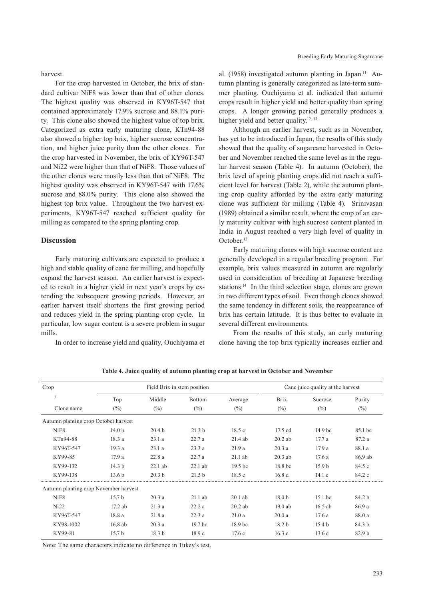harvest.

For the crop harvested in October, the brix of standard cultivar NiF8 was lower than that of other clones. The highest quality was observed in KY96T-547 that contained approximately 17.9% sucrose and 88.1% purity. This clone also showed the highest value of top brix. Categorized as extra early maturing clone, KTn94-88 also showed a higher top brix, higher sucrose concentration, and higher juice purity than the other clones. For the crop harvested in November, the brix of KY96T-547 and Ni22 were higher than that of NiF8. Those values of the other clones were mostly less than that of NiF8. The highest quality was observed in KY96T-547 with 17.6% sucrose and 88.0% purity. This clone also showed the highest top brix value. Throughout the two harvest experiments, KY96T-547 reached sufficient quality for milling as compared to the spring planting crop.

# **Discussion**

Early maturing cultivars are expected to produce a high and stable quality of cane for milling, and hopefully expand the harvest season. An earlier harvest is expected to result in a higher yield in next year's crops by extending the subsequent growing periods. However, an earlier harvest itself shortens the first growing period and reduces yield in the spring planting crop cycle. In particular, low sugar content is a severe problem in sugar mills.

In order to increase yield and quality, Ouchiyama et

al. (1958) investigated autumn planting in Japan.<sup>11</sup> Autumn planting is generally categorized as late-term summer planting. Ouchiyama et al. indicated that autumn crops result in higher yield and better quality than spring crops. A longer growing period generally produces a higher yield and better quality.<sup>12, 13</sup>

Although an earlier harvest, such as in November, has yet to be introduced in Japan, the results of this study showed that the quality of sugarcane harvested in October and November reached the same level as in the regular harvest season (Table 4). In autumn (October), the brix level of spring planting crops did not reach a sufficient level for harvest (Table 2), while the autumn planting crop quality afforded by the extra early maturing clone was sufficient for milling (Table 4). Srinivasan (1989) obtained a similar result, where the crop of an early maturity cultivar with high sucrose content planted in India in August reached a very high level of quality in October.12

Early maturing clones with high sucrose content are generally developed in a regular breeding program. For example, brix values measured in autumn are regularly used in consideration of breeding at Japanese breeding stations.14 In the third selection stage, clones are grown in two different types of soil. Even though clones showed the same tendency in different soils, the reappearance of brix has certain latitude. It is thus better to evaluate in several different environments.

From the results of this study, an early maturing clone having the top brix typically increases earlier and

| Crop                                  |                   |                   | Field Brix in stem position | Cane juice quality at the harvest |                   |                    |                   |
|---------------------------------------|-------------------|-------------------|-----------------------------|-----------------------------------|-------------------|--------------------|-------------------|
|                                       | Top               | Middle            | Bottom                      | Average                           | <b>Brix</b>       | Sucrose            | Purity            |
| Clone name                            | $(\%)$            | $(\%)$            | $(\%)$                      | $(\%)$                            | $(\%)$            | $\binom{0}{0}$     | $(\%)$            |
| Autumn planting crop October harvest  |                   |                   |                             |                                   |                   |                    |                   |
| NiF <sub>8</sub>                      | 14.0 <sub>b</sub> | 20.4 <sub>b</sub> | 21.3 <sub>b</sub>           | 18.5c                             | $17.5$ cd         | 14.9 <sub>bc</sub> | 85.1 bc           |
| KTn94-88                              | 18.3a             | 23.1a             | 22.7a                       | $21.4$ ab                         | $20.2$ ab         | 17.7a              | 87.2 a            |
| KY96T-547                             | 19.3a             | 23.1a             | 23.3a                       | 21.9a                             | 20.3a             | 17.9a              | 88.1 a            |
| KY99-85                               | 17.9a             | 22.8a             | 22.7a                       | $21.1$ ab                         | $20.3$ ab         | 17.6a              | 86.9 ab           |
| KY99-132                              | 14.3 <sub>b</sub> | $22.1$ ab         | $22.1$ ab                   | 19.5 <sub>bc</sub>                | 18.8 bc           | 15.9 <sub>b</sub>  | 84.5 c            |
| KY99-138                              | 13.6 <sub>b</sub> | 20.3 <sub>b</sub> | 21.5 <sub>b</sub>           | 18.5c                             | 16.8d             | 14.1c              | 84.2 c            |
| Autumn planting crop November harvest |                   |                   |                             |                                   |                   |                    |                   |
| NiF <sub>8</sub>                      | 15.7 <sub>b</sub> | 20.3a             | $21.1$ ab                   | $20.1$ ab                         | 18.0 <sub>b</sub> | $15.1$ bc          | 84.2 <sub>b</sub> |
| Ni22                                  | 17.2 ab           | 21.3a             | 22.2a                       | $20.2$ ab                         | $19.0$ ab         | $16.5$ ab          | 86.9 a            |
| KY96T-547                             | 18.8 a            | 21.8a             | 22.3a                       | 21.0a                             | 20.0a             | 17.6a              | 88.0 a            |
| KY98-1002                             | $16.8$ ab         | 20.3a             | 19.7 <sub>bc</sub>          | 18.9 <sub>bc</sub>                | 18.2 <sub>b</sub> | 15.4 <sub>b</sub>  | 84.3 b            |
| KY99-81                               | 15.7 <sub>b</sub> | 18.3 <sub>b</sub> | 18.9c                       | 17.6c                             | 16.3c             | 13.6c              | 82.9 <sub>b</sub> |

**Table 4. Juice quality of autumn planting crop at harvest in October and November**

Note: The same characters indicate no difference in Tukey's test.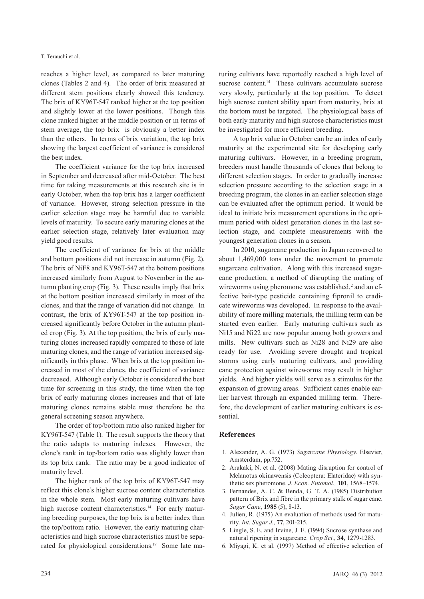#### T. Terauchi et al.

reaches a higher level, as compared to later maturing clones (Tables 2 and 4). The order of brix measured at different stem positions clearly showed this tendency. The brix of KY96T-547 ranked higher at the top position and slightly lower at the lower positions. Though this clone ranked higher at the middle position or in terms of stem average, the top brix is obviously a better index than the others. In terms of brix variation, the top brix showing the largest coefficient of variance is considered the best index.

The coefficient variance for the top brix increased in September and decreased after mid-October. The best time for taking measurements at this research site is in early October, when the top brix has a larger coefficient of variance. However, strong selection pressure in the earlier selection stage may be harmful due to variable levels of maturity. To secure early maturing clones at the earlier selection stage, relatively later evaluation may yield good results.

The coefficient of variance for brix at the middle and bottom positions did not increase in autumn (Fig. 2). The brix of NiF8 and KY96T-547 at the bottom positions increased similarly from August to November in the autumn planting crop (Fig. 3). These results imply that brix at the bottom position increased similarly in most of the clones, and that the range of variation did not change. In contrast, the brix of KY96T-547 at the top position increased significantly before October in the autumn planted crop (Fig. 3). At the top position, the brix of early maturing clones increased rapidly compared to those of late maturing clones, and the range of variation increased significantly in this phase. When brix at the top position increased in most of the clones, the coefficient of variance decreased. Although early October is considered the best time for screening in this study, the time when the top brix of early maturing clones increases and that of late maturing clones remains stable must therefore be the general screening season anywhere.

The order of top/bottom ratio also ranked higher for KY96T-547 (Table 1). The result supports the theory that the ratio adapts to maturing indexes. However, the clone's rank in top/bottom ratio was slightly lower than its top brix rank. The ratio may be a good indicator of maturity level.

The higher rank of the top brix of KY96T-547 may reflect this clone's higher sucrose content characteristics in the whole stem. Most early maturing cultivars have high sucrose content characteristics.<sup>14</sup> For early maturing breeding purposes, the top brix is a better index than the top/bottom ratio. However, the early maturing characteristics and high sucrose characteristics must be separated for physiological considerations.<sup>19</sup> Some late maturing cultivars have reportedly reached a high level of sucrose content.<sup>14</sup> These cultivars accumulate sucrose very slowly, particularly at the top position. To detect high sucrose content ability apart from maturity, brix at the bottom must be targeted. The physiological basis of both early maturity and high sucrose characteristics must be investigated for more efficient breeding.

A top brix value in October can be an index of early maturity at the experimental site for developing early maturing cultivars. However, in a breeding program, breeders must handle thousands of clones that belong to different selection stages. In order to gradually increase selection pressure according to the selection stage in a breeding program, the clones in an earlier selection stage can be evaluated after the optimum period. It would be ideal to initiate brix measurement operations in the optimum period with oldest generation clones in the last selection stage, and complete measurements with the youngest generation clones in a season.

In 2010, sugarcane production in Japan recovered to about 1,469,000 tons under the movement to promote sugarcane cultivation. Along with this increased sugarcane production, a method of disrupting the mating of wireworms using pheromone was established,<sup>2</sup> and an effective bait-type pesticide containing fipronil to eradicate wireworms was developed. In response to the availability of more milling materials, the milling term can be started even earlier. Early maturing cultivars such as Ni15 and Ni22 are now popular among both growers and mills. New cultivars such as Ni28 and Ni29 are also ready for use. Avoiding severe drought and tropical storms using early maturing cultivars, and providing cane protection against wireworms may result in higher yields. And higher yields will serve as a stimulus for the expansion of growing areas. Sufficient canes enable earlier harvest through an expanded milling term. Therefore, the development of earlier maturing cultivars is essential.

# **References**

- 1. Alexander, A. G. (1973) *Sugarcane Physiology*. Elsevier, Amsterdam, pp.752.
- 2. Arakaki, N. et al. (2008) Mating disruption for control of Melanotus okinawensis (Coleoptera: Elateridae) with synthetic sex pheromone. *J. Econ. Entomol.,* **101**, 1568–1574.
- 3. Fernandes, A. C. & Benda, G. T. A. (1985) Distribution pattern of Brix and fibre in the primary stalk of sugar cane. *Sugar Cane*, **1985** (5), 8-13.
- 4. Julien, R. (1975) An evaluation of methods used for maturity. *Int. Sugar J*., **77**, 201-215.
- 5. Lingle, S. E. and Irvine, J. E. (1994) Sucrose synthase and natural ripening in sugarcane. *Crop Sci.,* **34**, 1279-1283.
- 6. Miyagi, K. et al. (1997) Method of effective selection of